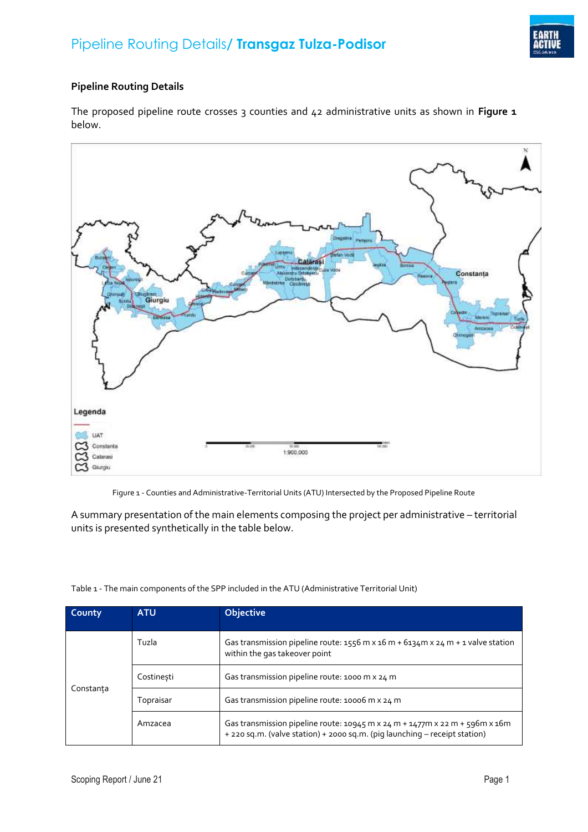

## **Pipeline Routing Details**

The proposed pipeline route crosses 3 counties and 42 administrative units as shown in **[Figure 1](#page-0-0)** below.



Figure 1 - Counties and Administrative-Territorial Units (ATU) Intersected by the Proposed Pipeline Route

<span id="page-0-0"></span>A summary presentation of the main elements composing the project per administrative – territorial units is presented synthetically in the table below.

| County    | <b>ATU</b> | <b>Objective</b>                                                                                                                                                         |
|-----------|------------|--------------------------------------------------------------------------------------------------------------------------------------------------------------------------|
| Constanta | Tuzla      | Gas transmission pipeline route: $1556$ m x $16$ m + $6134$ m x $24$ m + 1 valve station<br>within the gas takeover point                                                |
|           | Costinesti | Gas transmission pipeline route: 1000 m x 24 m                                                                                                                           |
|           | Topraisar  | Gas transmission pipeline route: 10006 m x 24 m                                                                                                                          |
|           | Amzacea    | Gas transmission pipeline route: $10945$ m x $24$ m + $1477$ m x $22$ m + $596$ m x $16$ m<br>+ 220 sq.m. (valve station) + 2000 sq.m. (pig launching - receipt station) |

Table 1 - The main components of the SPP included in the ATU (Administrative Territorial Unit)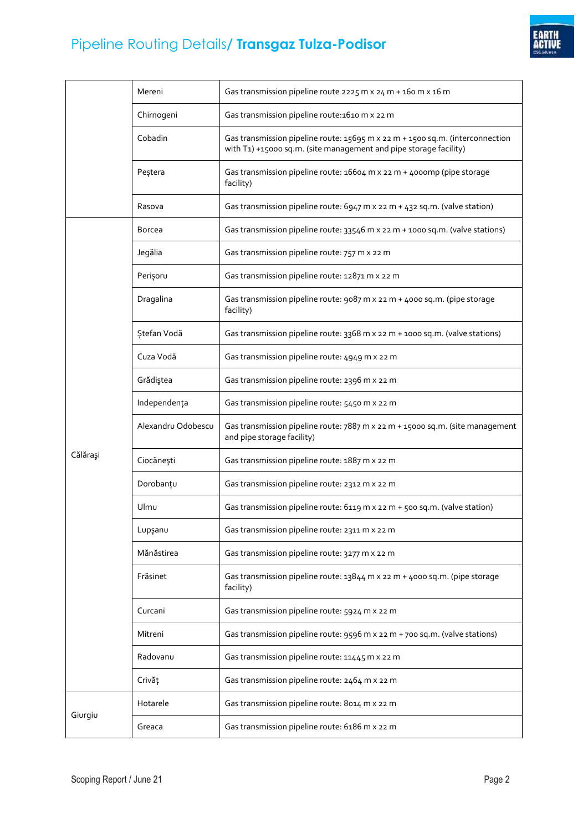

## Pipeline Routing Details**/ Transgaz Tulza-Podisor**

|          | Mereni             | Gas transmission pipeline route 2225 m x 24 m + 160 m x 16 m                                                                                       |
|----------|--------------------|----------------------------------------------------------------------------------------------------------------------------------------------------|
|          | Chirnogeni         | Gas transmission pipeline route: 1610 m x 22 m                                                                                                     |
|          | Cobadin            | Gas transmission pipeline route: 15695 m x 22 m + 1500 sq.m. (interconnection<br>with T1) +15000 sq.m. (site management and pipe storage facility) |
|          | Peștera            | Gas transmission pipeline route: 16604 m x 22 m + 4000mp (pipe storage<br>facility)                                                                |
|          | Rasova             | Gas transmission pipeline route: 6947 m x 22 m + 432 sq.m. (valve station)                                                                         |
| Călărași | Borcea             | Gas transmission pipeline route: 33546 m x 22 m + 1000 sq.m. (valve stations)                                                                      |
|          | Jegălia            | Gas transmission pipeline route: 757 m x 22 m                                                                                                      |
|          | Perișoru           | Gas transmission pipeline route: 12871 m x 22 m                                                                                                    |
|          | Dragalina          | Gas transmission pipeline route: 9087 m x 22 m + 4000 sq.m. (pipe storage<br>facility)                                                             |
|          | Ştefan Vodă        | Gas transmission pipeline route: 3368 m x 22 m + 1000 sq.m. (valve stations)                                                                       |
|          | Cuza Vodă          | Gas transmission pipeline route: 4949 m x 22 m                                                                                                     |
|          | Grădiştea          | Gas transmission pipeline route: 2396 m x 22 m                                                                                                     |
|          | Independența       | Gas transmission pipeline route: 5450 m x 22 m                                                                                                     |
|          | Alexandru Odobescu | Gas transmission pipeline route: 7887 m x 22 m + 15000 sq.m. (site management<br>and pipe storage facility)                                        |
|          | Ciocănești         | Gas transmission pipeline route: 1887 m x 22 m                                                                                                     |
|          | Dorobanțu          | Gas transmission pipeline route: 2312 m x 22 m                                                                                                     |
|          | Ulmu               | Gas transmission pipeline route: 6119 m x 22 m + 500 sq.m. (valve station)                                                                         |
|          | Lupşanu            | Gas transmission pipeline route: 2311 m x 22 m                                                                                                     |
|          | Mănăstirea         | Gas transmission pipeline route: 3277 m x 22 m                                                                                                     |
|          | Frăsinet           | Gas transmission pipeline route: 13844 m x 22 m + 4000 sq.m. (pipe storage<br>facility)                                                            |
|          | Curcani            | Gas transmission pipeline route: 5924 m x 22 m                                                                                                     |
|          | Mitreni            | Gas transmission pipeline route: 9596 m x 22 m + 700 sq.m. (valve stations)                                                                        |
|          | Radovanu           | Gas transmission pipeline route: 11445 m x 22 m                                                                                                    |
|          | Crivăț             | Gas transmission pipeline route: 2464 m x 22 m                                                                                                     |
| Giurgiu  | Hotarele           | Gas transmission pipeline route: 8014 m x 22 m                                                                                                     |
|          | Greaca             | Gas transmission pipeline route: 6186 m x 22 m                                                                                                     |